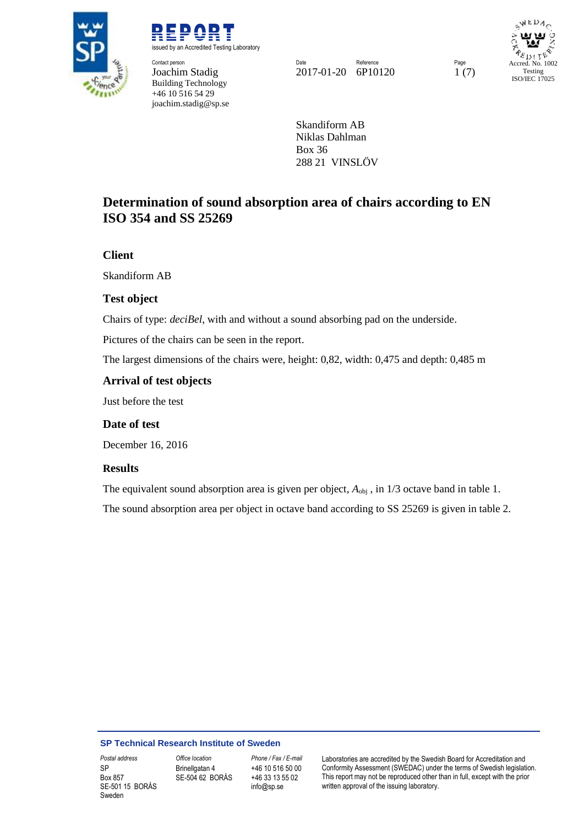

REPORT issued by an Accredited Testing Laboratory **Contact person**<br> **Contact person Page Reference** Page Reference Page Reference Page Reference Page

Building Technology +46 10 516 54 29 joachim.stadig@sp.se

Joachim Stadig 2017-01-20 6P10120 1 (7)

WEDA Accred. No. 1002 Testing ISO/IEC 17025

Skandiform AB Niklas Dahlman Box 36 288 21 VINSLÖV

## **Determination of sound absorption area of chairs according to EN ISO 354 and SS 25269**

### **Client**

Skandiform AB

### **Test object**

Chairs of type: *deciBel*, with and without a sound absorbing pad on the underside.

Pictures of the chairs can be seen in the report.

The largest dimensions of the chairs were, height: 0,82, width: 0,475 and depth: 0,485 m

### **Arrival of test objects**

Just before the test

### **Date of test**

December 16, 2016

### **Results**

The equivalent sound absorption area is given per object,  $A_{\text{obj}}$ , in 1/3 octave band in table 1.

The sound absorption area per object in octave band according to SS 25269 is given in table 2.

#### **SP Technical Research Institute of Sweden**

SP Box 857 SE-501 15 BORÅS Sweden

Brinellgatan 4 SE-504 62 BORÅS

+46 10 516 50 00 +46 33 13 55 02 info@sp.se

*Postal address Office location Phone / Fax / E-mail* Laboratories are accredited by the Swedish Board for Accreditation and Conformity Assessment (SWEDAC) under the terms of Swedish legislation. This report may not be reproduced other than in full, except with the prior written approval of the issuing laboratory.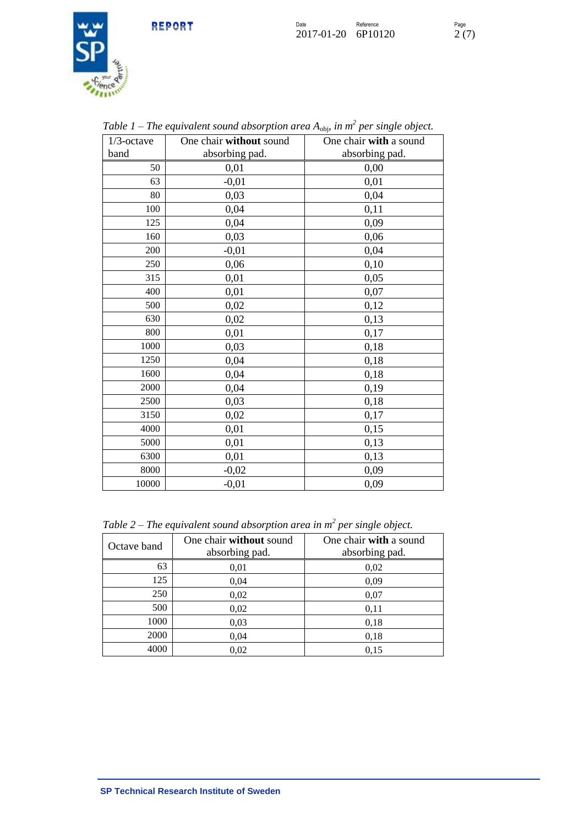

| $1/3$ -octave | One chair without sound<br>One chair with a sound |                |  |
|---------------|---------------------------------------------------|----------------|--|
| band          | absorbing pad.                                    | absorbing pad. |  |
| 50            | 0,01                                              | 0,00           |  |
| 63            | $-0,01$                                           | 0,01           |  |
| 80            | 0,03                                              | 0,04           |  |
| 100           | 0,04                                              | 0,11           |  |
| 125           | 0,04                                              | 0,09           |  |
| 160           | 0,03                                              | 0,06           |  |
| 200           | $-0,01$                                           | 0,04           |  |
| 250           | 0,06                                              | 0,10           |  |
| 315           | 0,01                                              | 0,05           |  |
| 400           | 0,01                                              | 0,07           |  |
| 500           | 0,02                                              | 0,12           |  |
| 630           | 0,02                                              | 0,13           |  |
| 800           | 0,01                                              | 0,17           |  |
| 1000          | 0,03                                              | 0,18           |  |
| 1250          | 0,04                                              | 0,18           |  |
| 1600          | 0,04                                              | 0,18           |  |
| 2000          | 0,04                                              | 0,19           |  |
| 2500          | 0,03                                              | 0,18           |  |
| 3150          | 0,02                                              | 0,17           |  |
| 4000          | 0,01                                              | 0,15           |  |
| 5000          | 0,01                                              | 0,13           |  |
| 6300          | 0,01                                              | 0,13           |  |
| 8000          | $-0,02$                                           | 0,09           |  |
| 10000         | $-0,01$                                           | 0,09           |  |

Table 1 – The equivalent sound absorption area A<sub>obj</sub>, in m<sup>2</sup> per single object.

*Table 2 – The equivalent sound absorption area in m<sup>2</sup> per single object.*

| Octave band | One chair without sound<br>absorbing pad. | One chair with a sound<br>absorbing pad. |
|-------------|-------------------------------------------|------------------------------------------|
| 63          | 0,01                                      | 0,02                                     |
| 125         | 0,04                                      | 0,09                                     |
| 250         | 0,02                                      | 0,07                                     |
| 500         | 0,02                                      | 0,11                                     |
| 1000        | 0,03                                      | 0,18                                     |
| 2000        | 0,04                                      | 0,18                                     |
| 4000        | 0,02                                      | 0,15                                     |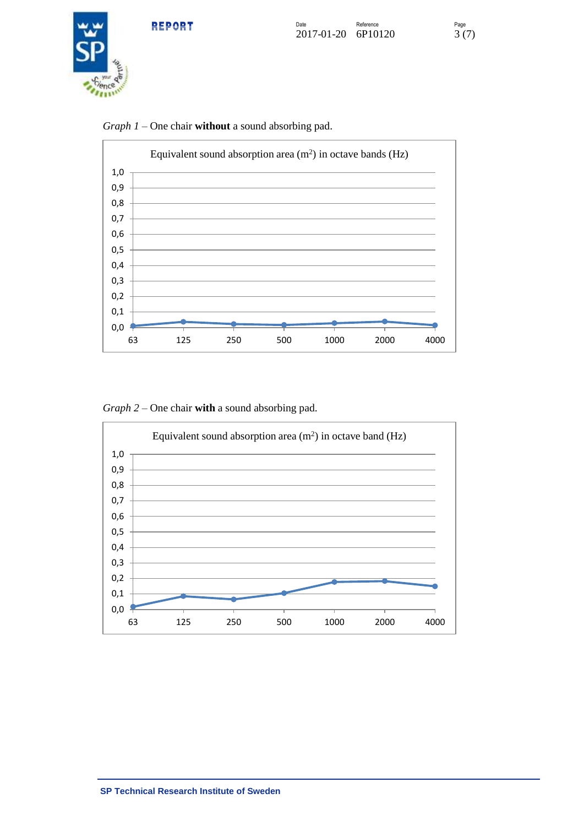





*Graph 1 –* One chair **without** a sound absorbing pad.

*Graph 2 –* One chair **with** a sound absorbing pad.

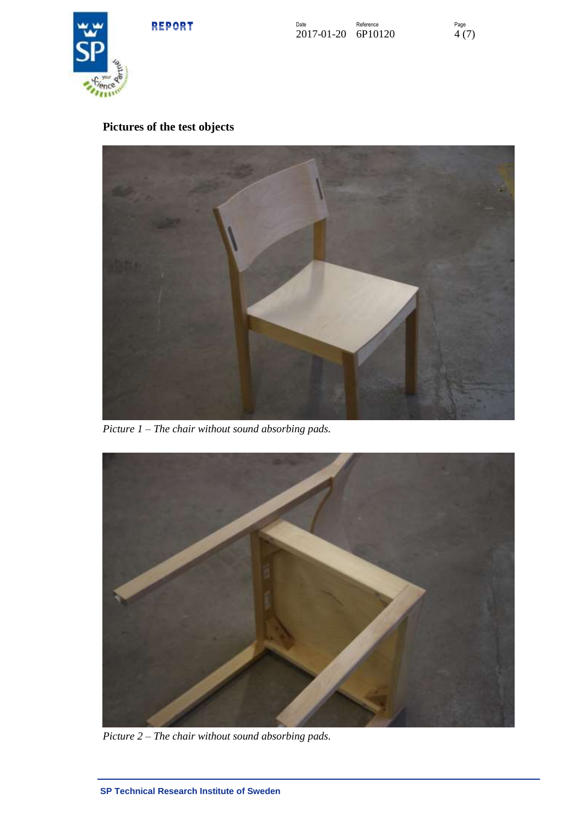REPORT





# **Pictures of the test objects**



*Picture 1 – The chair without sound absorbing pads.*



*Picture 2 – The chair without sound absorbing pads.*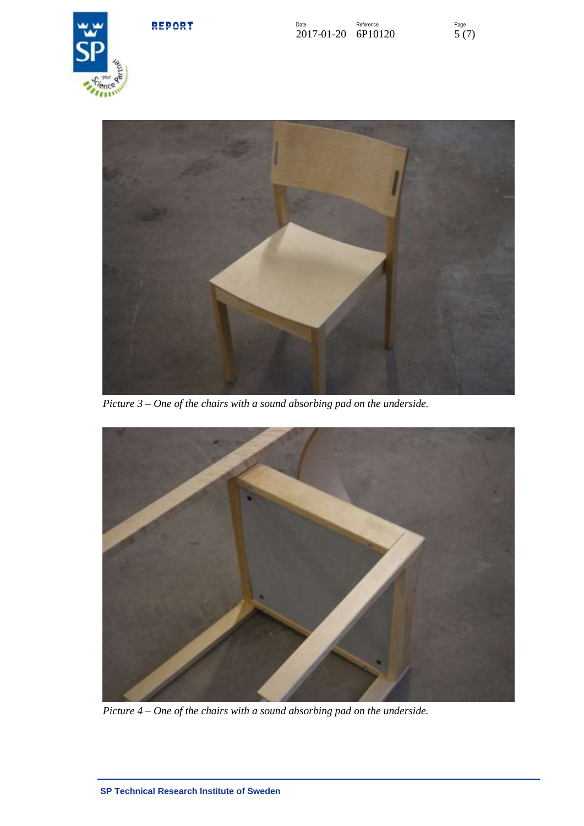







*Picture 3 – One of the chairs with a sound absorbing pad on the underside.*



*Picture 4 – One of the chairs with a sound absorbing pad on the underside.*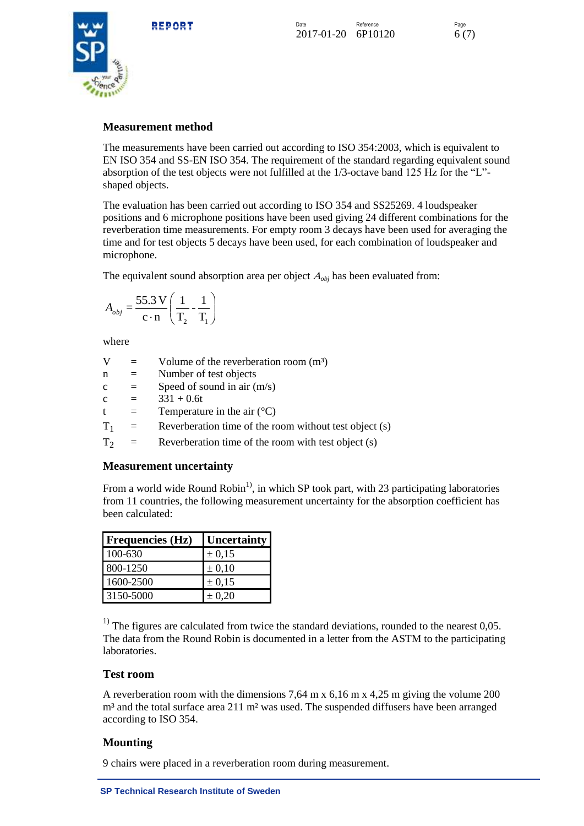REPORT

Date **Reference** Reference 2017-01-20 6P10120 6 (7)



### **Measurement method**

The measurements have been carried out according to ISO 354:2003, which is equivalent to EN ISO 354 and SS-EN ISO 354. The requirement of the standard regarding equivalent sound absorption of the test objects were not fulfilled at the 1/3-octave band 125 Hz for the "L" shaped objects.

The evaluation has been carried out according to ISO 354 and SS25269. 4 loudspeaker positions and 6 microphone positions have been used giving 24 different combinations for the reverberation time measurements. For empty room 3 decays have been used for averaging the time and for test objects 5 decays have been used, for each combination of loudspeaker and microphone.

The equivalent sound absorption area per object  $A_{obj}$  has been evaluated from:

$$
A_{obj} = \frac{55.3 \text{ V}}{\text{c} \cdot \text{n}} \left( \frac{1}{\text{T}_2} - \frac{1}{\text{T}_1} \right)
$$

where

| V            |          | Volume of the reverberation room $(m3)$                |
|--------------|----------|--------------------------------------------------------|
| n            | $=$      | Number of test objects                                 |
| $\mathbf c$  | $\equiv$ | Speed of sound in air $(m/s)$                          |
| $\mathbf{c}$ | $\equiv$ | $331 + 0.6t$                                           |
| t            | $=$      | Temperature in the air $(^{\circ}C)$                   |
| $T_{1}$      | $=$      | Reverberation time of the room without test object (s) |
| $\Gamma_{2}$ | $=$      | Reverberation time of the room with test object (s)    |

### **Measurement uncertainty**

From a world wide Round Robin<sup>1</sup>, in which SP took part, with 23 participating laboratories from 11 countries, the following measurement uncertainty for the absorption coefficient has been calculated:

| <b>Frequencies (Hz)</b> | <b>Uncertainty</b> |
|-------------------------|--------------------|
| 100-630                 | ± 0,15             |
| 800-1250                | $\pm 0.10$         |
| 1600-2500               | ± 0,15             |
| 3150-5000               | $\pm 0.20$         |

 $<sup>1)</sup>$  The figures are calculated from twice the standard deviations, rounded to the nearest 0,05.</sup> The data from the Round Robin is documented in a letter from the ASTM to the participating laboratories.

### **Test room**

A reverberation room with the dimensions 7,64 m x 6,16 m x 4,25 m giving the volume 200 m<sup>3</sup> and the total surface area 211 m<sup>2</sup> was used. The suspended diffusers have been arranged according to ISO 354.

### **Mounting**

9 chairs were placed in a reverberation room during measurement.